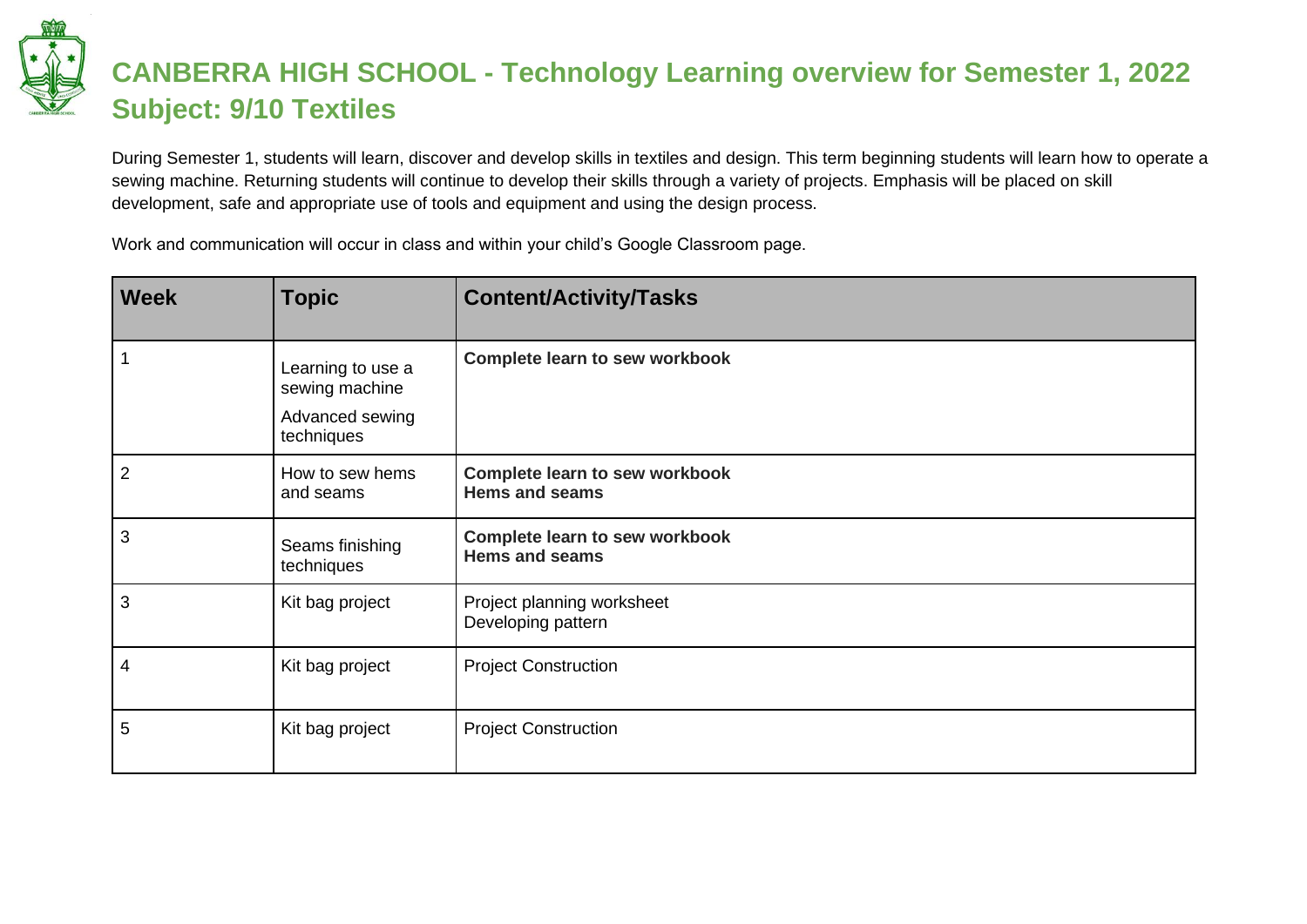## **CANBERRA HIGH SCHOOL - Technology Learning overview for Semester 1, 2022 Subject: 9/10 Textiles**

During Semester 1, students will learn, discover and develop skills in textiles and design. This term beginning students will learn how to operate a sewing machine. Returning students will continue to develop their skills through a variety of projects. Emphasis will be placed on skill development, safe and appropriate use of tools and equipment and using the design process.

Work and communication will occur in class and within your child's Google Classroom page.

| <b>Week</b>  | <b>Topic</b>                                                         | <b>Content/Activity/Tasks</b>                                  |
|--------------|----------------------------------------------------------------------|----------------------------------------------------------------|
| $\mathbf{1}$ | Learning to use a<br>sewing machine<br>Advanced sewing<br>techniques | <b>Complete learn to sew workbook</b>                          |
| 2            | How to sew hems<br>and seams                                         | <b>Complete learn to sew workbook</b><br><b>Hems and seams</b> |
| 3            | Seams finishing<br>techniques                                        | <b>Complete learn to sew workbook</b><br><b>Hems and seams</b> |
| 3            | Kit bag project                                                      | Project planning worksheet<br>Developing pattern               |
| 4            | Kit bag project                                                      | <b>Project Construction</b>                                    |
| 5            | Kit bag project                                                      | <b>Project Construction</b>                                    |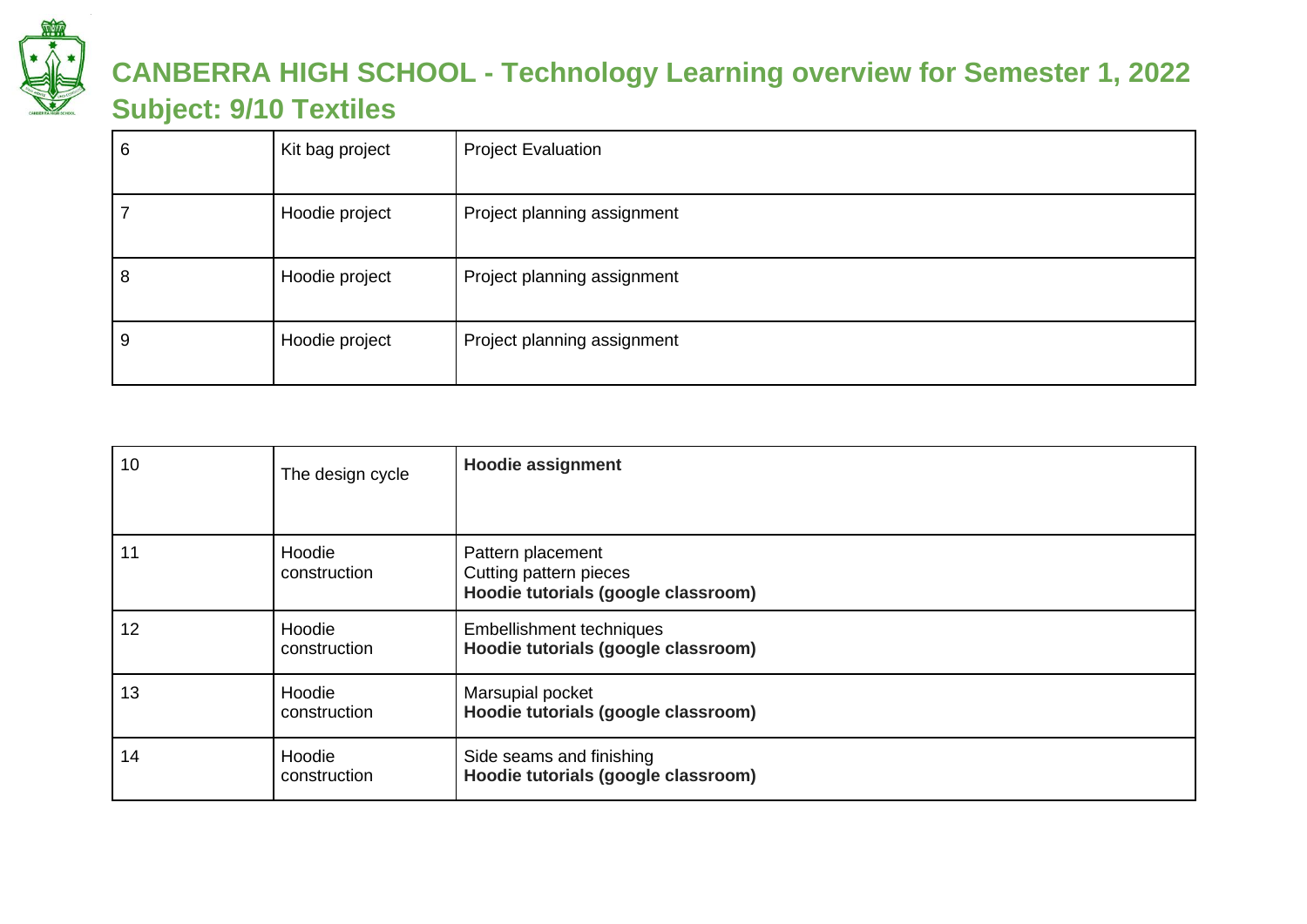

## **CANBERRA HIGH SCHOOL - Technology Learning overview for Semester 1, 2022 Subject: 9/10 Textiles**

| 6 | Kit bag project | <b>Project Evaluation</b>   |
|---|-----------------|-----------------------------|
|   | Hoodie project  | Project planning assignment |
| O | Hoodie project  | Project planning assignment |
| У | Hoodie project  | Project planning assignment |

| 10 | The design cycle       | <b>Hoodie assignment</b>                                                           |
|----|------------------------|------------------------------------------------------------------------------------|
|    |                        |                                                                                    |
| 11 | Hoodie<br>construction | Pattern placement<br>Cutting pattern pieces<br>Hoodie tutorials (google classroom) |
| 12 | Hoodie<br>construction | <b>Embellishment techniques</b><br>Hoodie tutorials (google classroom)             |
| 13 | Hoodie<br>construction | Marsupial pocket<br>Hoodie tutorials (google classroom)                            |
| 14 | Hoodie<br>construction | Side seams and finishing<br>Hoodie tutorials (google classroom)                    |